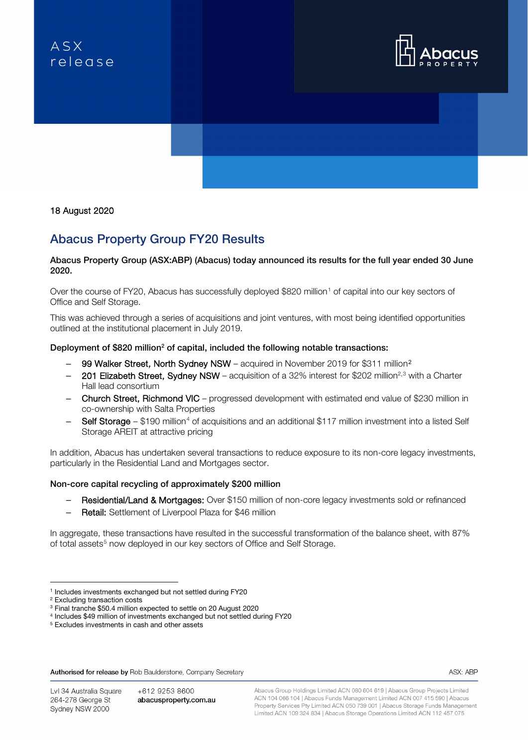# $ASX$ relegse





### 18 August 2020

# Abacus Property Group FY20 Results

#### Abacus Property Group (ASX:ABP) (Abacus) today announced its results for the full year ended 30 June 2020.

Over the course of FY20, Abacus has successfully deployed \$820 million<sup>[1](#page-0-0)</sup> of capital into our key sectors of Office and Self Storage.

This was achieved through a series of acquisitions and joint ventures, with most being identified opportunities outlined at the institutional placement in July 2019.

#### Deployment of \$820 million<sup>2</sup> of capital, included the following notable transactions:

- 99 Walker Street, North Sydney NSW acquired in November [2](#page-0-1)019 for \$311 million<sup>2</sup>
- $-$  201 Elizabeth Street, Sydney NSW acquisition of a [3](#page-0-2)2% interest for \$202 million<sup>2,3</sup> with a Charter Hall lead consortium
- Church Street, Richmond VIC progressed development with estimated end value of \$230 million in co-ownership with Salta Properties
- Self Storage \$190 million<sup>[4](#page-0-3)</sup> of acquisitions and an additional \$117 million investment into a listed Self Storage AREIT at attractive pricing

In addition, Abacus has undertaken several transactions to reduce exposure to its non-core legacy investments, particularly in the Residential Land and Mortgages sector.

#### Non-core capital recycling of approximately \$200 million

- Residential/Land & Mortgages: Over \$150 million of non-core legacy investments sold or refinanced
- Retail: Settlement of Liverpool Plaza for \$46 million

In aggregate, these transactions have resulted in the successful transformation of the balance sheet, with 87% of total assets<sup>[5](#page-0-4)</sup> now deployed in our key sectors of Office and Self Storage.

Authorised for release by Rob Baulderstone, Company Secretary

Lvl 34 Australia Square 264-278 George St Sydney NSW 2000

+612 9253 8600 abacusproperty.com.au Abacus Group Holdings Limited ACN 080 604 619 | Abacus Group Projects Limited ACN 104 066 104 | Abacus Funds Management Limited ACN 007 415 590 | Abacus Property Services Pty Limited ACN 050 739 001 | Abacus Storage Funds Management Limited ACN 109 324 834 | Abacus Storage Operations Limited ACN 112 457 075

ASX: ABP

<sup>1</sup> Includes investments exchanged but not settled during FY20

<span id="page-0-1"></span><span id="page-0-0"></span><sup>2</sup> Excluding transaction costs

<span id="page-0-2"></span><sup>3</sup> Final tranche \$50.4 million expected to settle on 20 August 2020

<sup>4</sup> Includes \$49 million of investments exchanged but not settled during FY20

<span id="page-0-4"></span><span id="page-0-3"></span><sup>5</sup> Excludes investments in cash and other assets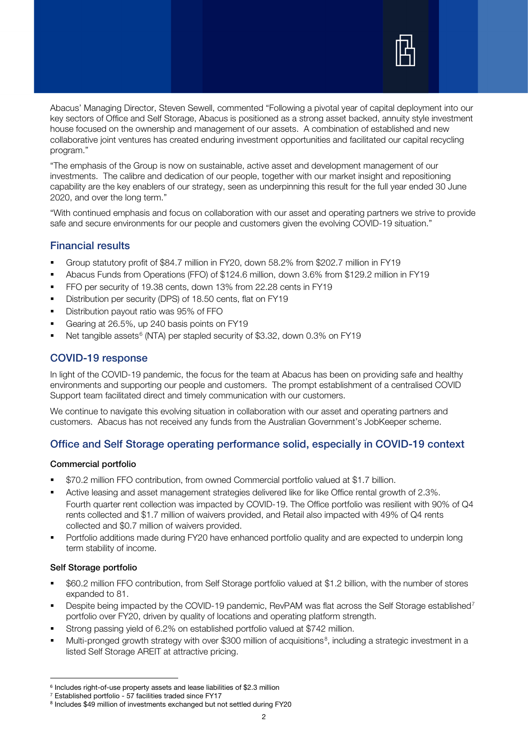

Abacus' Managing Director, Steven Sewell, commented "Following a pivotal year of capital deployment into our key sectors of Office and Self Storage, Abacus is positioned as a strong asset backed, annuity style investment house focused on the ownership and management of our assets. A combination of established and new collaborative joint ventures has created enduring investment opportunities and facilitated our capital recycling program."

"The emphasis of the Group is now on sustainable, active asset and development management of our investments. The calibre and dedication of our people, together with our market insight and repositioning capability are the key enablers of our strategy, seen as underpinning this result for the full year ended 30 June 2020, and over the long term."

"With continued emphasis and focus on collaboration with our asset and operating partners we strive to provide safe and secure environments for our people and customers given the evolving COVID-19 situation."

# Financial results

- Group statutory profit of \$84.7 million in FY20, down 58.2% from \$202.7 million in FY19
- Abacus Funds from Operations (FFO) of \$124.6 million, down 3.6% from \$129.2 million in FY19
- FFO per security of 19.38 cents, down 13% from 22.28 cents in FY19
- Distribution per security (DPS) of 18.50 cents, flat on FY19
- **Distribution payout ratio was 95% of FFO**
- Gearing at 26.5%, up 240 basis points on FY19
- Net tangible assets<sup>[6](#page-1-0)</sup> (NTA) per stapled security of \$3.32, down 0.3% on FY19

# COVID-19 response

In light of the COVID-19 pandemic, the focus for the team at Abacus has been on providing safe and healthy environments and supporting our people and customers. The prompt establishment of a centralised COVID Support team facilitated direct and timely communication with our customers.

We continue to navigate this evolving situation in collaboration with our asset and operating partners and customers. Abacus has not received any funds from the Australian Government's JobKeeper scheme.

# Office and Self Storage operating performance solid, especially in COVID-19 context

#### Commercial portfolio

- \$70.2 million FFO contribution, from owned Commercial portfolio valued at \$1.7 billion.
- Active leasing and asset management strategies delivered like for like Office rental growth of 2.3%. Fourth quarter rent collection was impacted by COVID-19. The Office portfolio was resilient with 90% of Q4 rents collected and \$1.7 million of waivers provided, and Retail also impacted with 49% of Q4 rents collected and \$0.7 million of waivers provided.
- Portfolio additions made during FY20 have enhanced portfolio quality and are expected to underpin long term stability of income.

#### Self Storage portfolio

- \$60.2 million FFO contribution, from Self Storage portfolio valued at \$1.2 billion, with the number of stores expanded to 81.
- Despite being impacted by the COVID-19 pandemic, RevPAM was flat across the Self Storage established<sup>[7](#page-1-1)</sup> portfolio over FY20, driven by quality of locations and operating platform strength.
- Strong passing yield of 6.2% on established portfolio valued at \$742 million.
- Multi-pronged growth strategy with over \$300 million of acquisitions<sup>[8](#page-1-2)</sup>, including a strategic investment in a listed Self Storage AREIT at attractive pricing.

<span id="page-1-0"></span><sup>6</sup> Includes right-of-use property assets and lease liabilities of \$2.3 million

<sup>7</sup> Established portfolio - 57 facilities traded since FY17

<span id="page-1-2"></span><span id="page-1-1"></span><sup>8</sup> Includes \$49 million of investments exchanged but not settled during FY20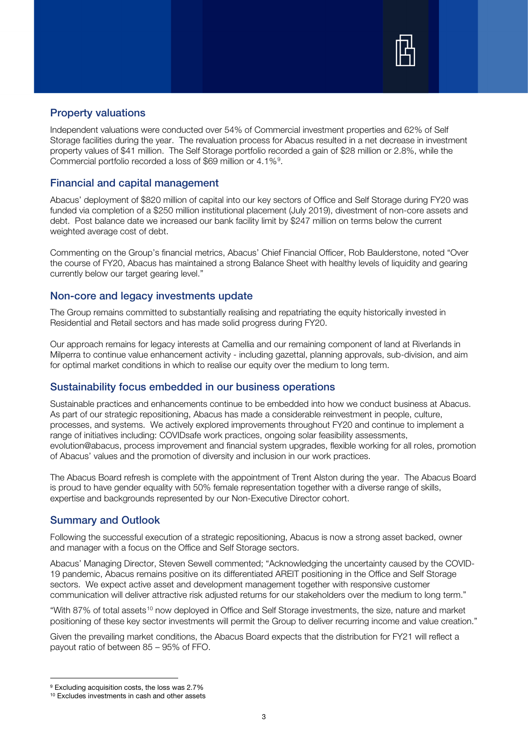

# Property valuations

Independent valuations were conducted over 54% of Commercial investment properties and 62% of Self Storage facilities during the year. The revaluation process for Abacus resulted in a net decrease in investment property values of \$41 million. The Self Storage portfolio recorded a gain of \$28 million or 2.8%, while the Commercial portfolio recorded a loss of \$6[9](#page-2-0) million or 4.1%<sup>9</sup>.

# Financial and capital management

Abacus' deployment of \$820 million of capital into our key sectors of Office and Self Storage during FY20 was funded via completion of a \$250 million institutional placement (July 2019), divestment of non-core assets and debt. Post balance date we increased our bank facility limit by \$247 million on terms below the current weighted average cost of debt.

Commenting on the Group's financial metrics, Abacus' Chief Financial Officer, Rob Baulderstone, noted "Over the course of FY20, Abacus has maintained a strong Balance Sheet with healthy levels of liquidity and gearing currently below our target gearing level."

#### Non-core and legacy investments update

The Group remains committed to substantially realising and repatriating the equity historically invested in Residential and Retail sectors and has made solid progress during FY20.

Our approach remains for legacy interests at Camellia and our remaining component of land at Riverlands in Milperra to continue value enhancement activity - including gazettal, planning approvals, sub-division, and aim for optimal market conditions in which to realise our equity over the medium to long term.

#### Sustainability focus embedded in our business operations

Sustainable practices and enhancements continue to be embedded into how we conduct business at Abacus. As part of our strategic repositioning, Abacus has made a considerable reinvestment in people, culture, processes, and systems. We actively explored improvements throughout FY20 and continue to implement a range of initiatives including: COVIDsafe work practices, ongoing solar feasibility assessments, evolution@abacus, process improvement and financial system upgrades, flexible working for all roles, promotion of Abacus' values and the promotion of diversity and inclusion in our work practices.

The Abacus Board refresh is complete with the appointment of Trent Alston during the year. The Abacus Board is proud to have gender equality with 50% female representation together with a diverse range of skills, expertise and backgrounds represented by our Non-Executive Director cohort.

# Summary and Outlook

Following the successful execution of a strategic repositioning, Abacus is now a strong asset backed, owner and manager with a focus on the Office and Self Storage sectors.

Abacus' Managing Director, Steven Sewell commented; "Acknowledging the uncertainty caused by the COVID-19 pandemic, Abacus remains positive on its differentiated AREIT positioning in the Office and Self Storage sectors. We expect active asset and development management together with responsive customer communication will deliver attractive risk adjusted returns for our stakeholders over the medium to long term."

"With 87% of total assets<sup>[10](#page-2-1)</sup> now deployed in Office and Self Storage investments, the size, nature and market positioning of these key sector investments will permit the Group to deliver recurring income and value creation."

Given the prevailing market conditions, the Abacus Board expects that the distribution for FY21 will reflect a payout ratio of between 85 – 95% of FFO.

<span id="page-2-1"></span><span id="page-2-0"></span><sup>&</sup>lt;sup>9</sup> Excluding acquisition costs, the loss was 2.7% <sup>10</sup> Excludes investments in cash and other assets